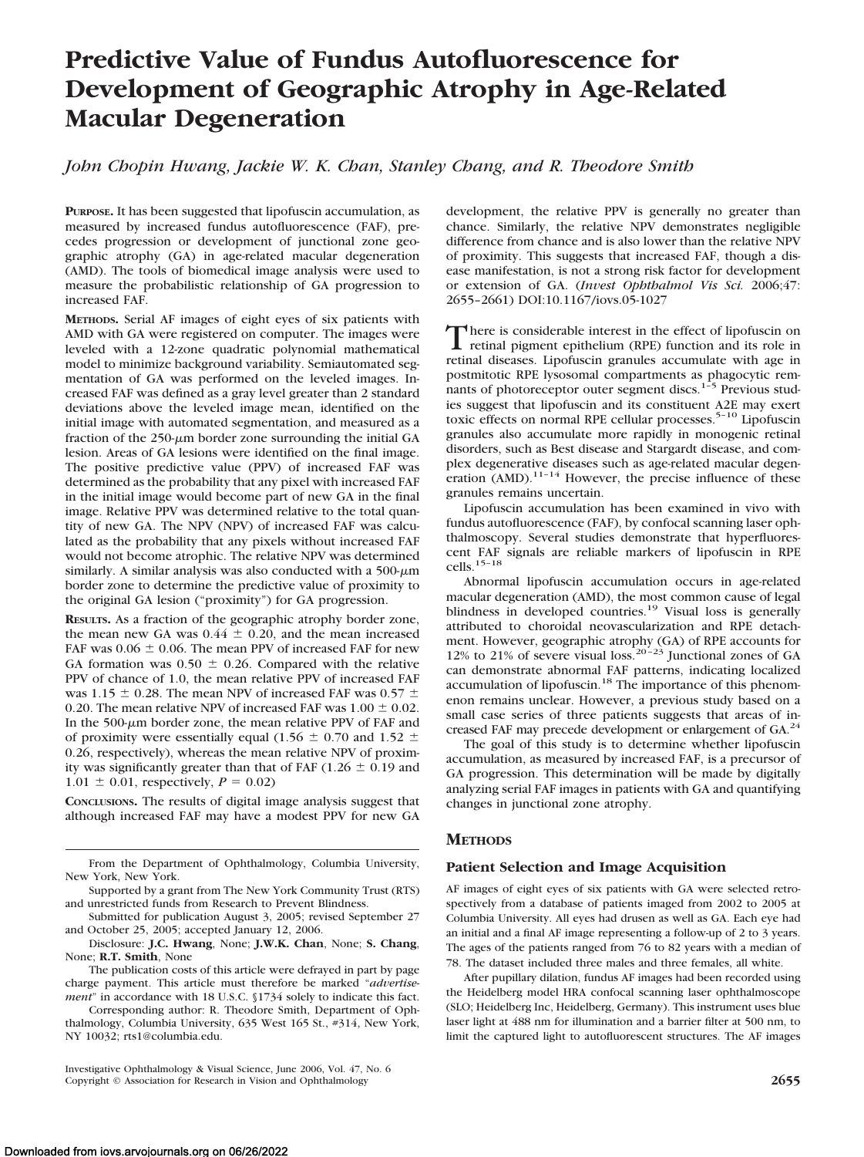# **Predictive Value of Fundus Autofluorescence for Development of Geographic Atrophy in Age-Related Macular Degeneration**

*John Chopin Hwang, Jackie W. K. Chan, Stanley Chang, and R. Theodore Smith*

**PURPOSE.** It has been suggested that lipofuscin accumulation, as measured by increased fundus autofluorescence (FAF), precedes progression or development of junctional zone geographic atrophy (GA) in age-related macular degeneration (AMD). The tools of biomedical image analysis were used to measure the probabilistic relationship of GA progression to increased FAF.

**METHODS.** Serial AF images of eight eyes of six patients with AMD with GA were registered on computer. The images were leveled with a 12-zone quadratic polynomial mathematical model to minimize background variability. Semiautomated segmentation of GA was performed on the leveled images. Increased FAF was defined as a gray level greater than 2 standard deviations above the leveled image mean, identified on the initial image with automated segmentation, and measured as a fraction of the  $250-\mu m$  border zone surrounding the initial GA lesion. Areas of GA lesions were identified on the final image. The positive predictive value (PPV) of increased FAF was determined as the probability that any pixel with increased FAF in the initial image would become part of new GA in the final image. Relative PPV was determined relative to the total quantity of new GA. The NPV (NPV) of increased FAF was calculated as the probability that any pixels without increased FAF would not become atrophic. The relative NPV was determined similarly. A similar analysis was also conducted with a 500- $\mu$ m border zone to determine the predictive value of proximity to the original GA lesion ("proximity") for GA progression.

**RESULTS.** As a fraction of the geographic atrophy border zone, the mean new GA was  $0.44 \pm 0.20$ , and the mean increased FAF was  $0.06 \pm 0.06$ . The mean PPV of increased FAF for new GA formation was  $0.50 \pm 0.26$ . Compared with the relative PPV of chance of 1.0, the mean relative PPV of increased FAF was 1.15  $\pm$  0.28. The mean NPV of increased FAF was 0.57  $\pm$ 0.20. The mean relative NPV of increased FAF was  $1.00 \pm 0.02$ . In the  $500-\mu m$  border zone, the mean relative PPV of FAF and of proximity were essentially equal (1.56  $\pm$  0.70 and 1.52  $\pm$ 0.26, respectively), whereas the mean relative NPV of proximity was significantly greater than that of FAF (1.26  $\pm$  0.19 and  $1.01 \pm 0.01$ , respectively,  $P = 0.02$ )

**CONCLUSIONS.** The results of digital image analysis suggest that although increased FAF may have a modest PPV for new GA development, the relative PPV is generally no greater than chance. Similarly, the relative NPV demonstrates negligible difference from chance and is also lower than the relative NPV of proximity. This suggests that increased FAF, though a disease manifestation, is not a strong risk factor for development or extension of GA. (*Invest Ophthalmol Vis Sci.* 2006;47: 2655–2661) DOI:10.1167/iovs.05-1027

There is considerable interest in the effect of lipofuscin on<br>retinal pigment epithelium (RPE) function and its role in retinal diseases. Lipofuscin granules accumulate with age in postmitotic RPE lysosomal compartments as phagocytic remnants of photoreceptor outer segment discs. $1-5$  Previous studies suggest that lipofuscin and its constituent A2E may exert toxic effects on normal RPE cellular processes.<sup>5-10</sup> Lipofuscin granules also accumulate more rapidly in monogenic retinal disorders, such as Best disease and Stargardt disease, and complex degenerative diseases such as age-related macular degeneration  $(AMD)$ .<sup>11-14</sup> However, the precise influence of these granules remains uncertain.

Lipofuscin accumulation has been examined in vivo with fundus autofluorescence (FAF), by confocal scanning laser ophthalmoscopy. Several studies demonstrate that hyperfluorescent FAF signals are reliable markers of lipofuscin in RPE cells.15–18

Abnormal lipofuscin accumulation occurs in age-related macular degeneration (AMD), the most common cause of legal blindness in developed countries.<sup>19</sup> Visual loss is generally attributed to choroidal neovascularization and RPE detachment. However, geographic atrophy (GA) of RPE accounts for 12% to 21% of severe visual loss.<sup>20-23</sup> Junctional zones of GA can demonstrate abnormal FAF patterns, indicating localized accumulation of lipofuscin.<sup>18</sup> The importance of this phenomenon remains unclear. However, a previous study based on a small case series of three patients suggests that areas of increased FAF may precede development or enlargement of GA.<sup>24</sup>

The goal of this study is to determine whether lipofuscin accumulation, as measured by increased FAF, is a precursor of GA progression. This determination will be made by digitally analyzing serial FAF images in patients with GA and quantifying changes in junctional zone atrophy.

# **METHODS**

## **Patient Selection and Image Acquisition**

AF images of eight eyes of six patients with GA were selected retrospectively from a database of patients imaged from 2002 to 2005 at Columbia University. All eyes had drusen as well as GA. Each eye had an initial and a final AF image representing a follow-up of 2 to 3 years. The ages of the patients ranged from 76 to 82 years with a median of 78. The dataset included three males and three females, all white.

After pupillary dilation, fundus AF images had been recorded using the Heidelberg model HRA confocal scanning laser ophthalmoscope (SLO; Heidelberg Inc, Heidelberg, Germany). This instrument uses blue laser light at 488 nm for illumination and a barrier filter at 500 nm, to limit the captured light to autofluorescent structures. The AF images

From the Department of Ophthalmology, Columbia University, New York, New York.

Supported by a grant from The New York Community Trust (RTS) and unrestricted funds from Research to Prevent Blindness.

Submitted for publication August 3, 2005; revised September 27 and October 25, 2005; accepted January 12, 2006.

Disclosure: **J.C. Hwang**, None; **J.W.K. Chan**, None; **S. Chang**, None; **R.T. Smith**, None

The publication costs of this article were defrayed in part by page charge payment. This article must therefore be marked "*advertisement*" in accordance with 18 U.S.C. §1734 solely to indicate this fact.

Corresponding author: R. Theodore Smith, Department of Ophthalmology, Columbia University, 635 West 165 St., #314, New York, NY 10032; rts1@columbia.edu.

Investigative Ophthalmology & Visual Science, June 2006, Vol. 47, No. 6 Copyright © Association for Research in Vision and Ophthalmology **2655**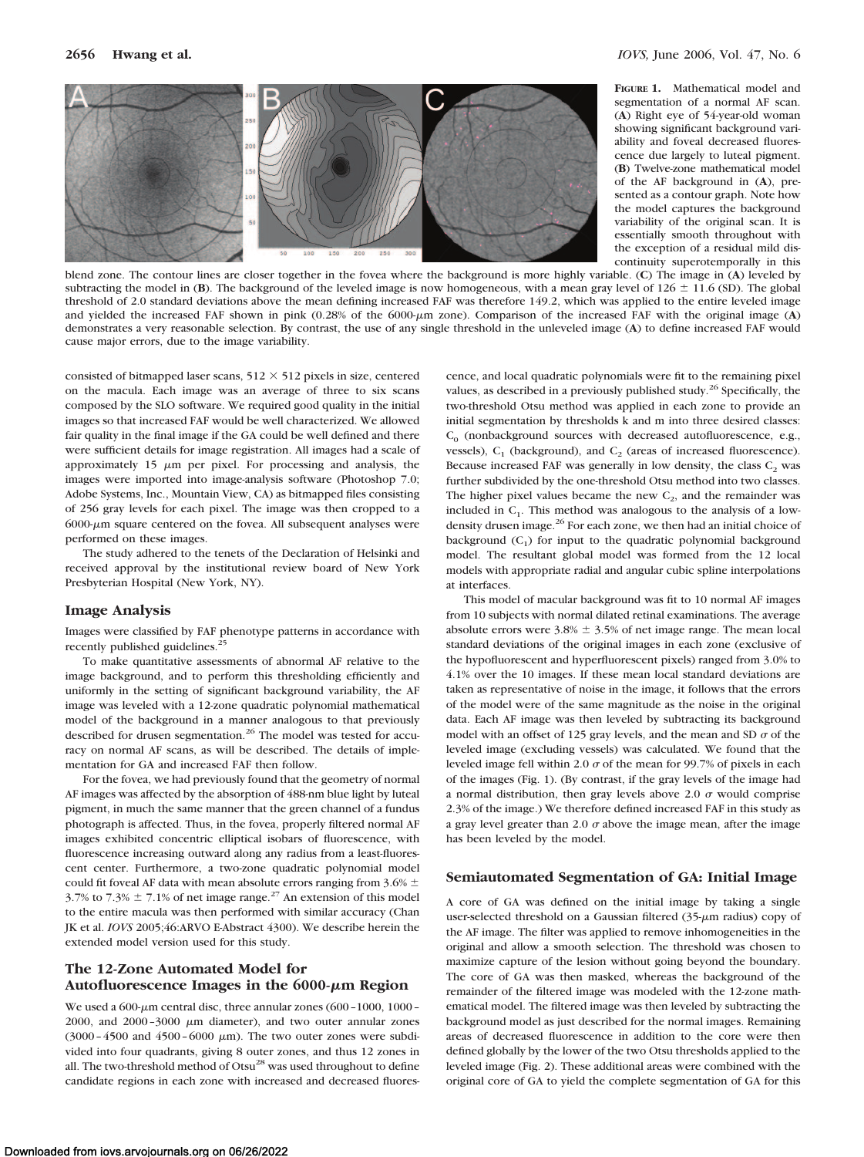

**FIGURE 1.** Mathematical model and segmentation of a normal AF scan. (**A**) Right eye of 54-year-old woman showing significant background variability and foveal decreased fluorescence due largely to luteal pigment. (**B**) Twelve-zone mathematical model of the AF background in (**A**), presented as a contour graph. Note how the model captures the background variability of the original scan. It is essentially smooth throughout with the exception of a residual mild discontinuity superotemporally in this

blend zone. The contour lines are closer together in the fovea where the background is more highly variable. (**C**) The image in (**A**) leveled by subtracting the model in (**B**). The background of the leveled image is now homogeneous, with a mean gray level of  $126 \pm 11.6$  (SD). The global threshold of 2.0 standard deviations above the mean defining increased FAF was therefore 149.2, which was applied to the entire leveled image and yielded the increased FAF shown in pink (0.28% of the 6000-µm zone). Comparison of the increased FAF with the original image (A) demonstrates a very reasonable selection. By contrast, the use of any single threshold in the unleveled image (**A**) to define increased FAF would cause major errors, due to the image variability.

consisted of bitmapped laser scans,  $512 \times 512$  pixels in size, centered on the macula. Each image was an average of three to six scans composed by the SLO software. We required good quality in the initial images so that increased FAF would be well characterized. We allowed fair quality in the final image if the GA could be well defined and there were sufficient details for image registration. All images had a scale of approximately 15  $\mu$ m per pixel. For processing and analysis, the images were imported into image-analysis software (Photoshop 7.0; Adobe Systems, Inc., Mountain View, CA) as bitmapped files consisting of 256 gray levels for each pixel. The image was then cropped to a  $6000$ - $\mu$ m square centered on the fovea. All subsequent analyses were performed on these images.

The study adhered to the tenets of the Declaration of Helsinki and received approval by the institutional review board of New York Presbyterian Hospital (New York, NY).

#### **Image Analysis**

Images were classified by FAF phenotype patterns in accordance with recently published guidelines.<sup>25</sup>

To make quantitative assessments of abnormal AF relative to the image background, and to perform this thresholding efficiently and uniformly in the setting of significant background variability, the AF image was leveled with a 12-zone quadratic polynomial mathematical model of the background in a manner analogous to that previously described for drusen segmentation.<sup>26</sup> The model was tested for accuracy on normal AF scans, as will be described. The details of implementation for GA and increased FAF then follow.

For the fovea, we had previously found that the geometry of normal AF images was affected by the absorption of 488-nm blue light by luteal pigment, in much the same manner that the green channel of a fundus photograph is affected. Thus, in the fovea, properly filtered normal AF images exhibited concentric elliptical isobars of fluorescence, with fluorescence increasing outward along any radius from a least-fluorescent center. Furthermore, a two-zone quadratic polynomial model could fit foveal AF data with mean absolute errors ranging from 3.6%  $\pm$ 3.7% to 7.3%  $\pm$  7.1% of net image range.<sup>27</sup> An extension of this model to the entire macula was then performed with similar accuracy (Chan JK et al. *IOVS* 2005;46:ARVO E-Abstract 4300). We describe herein the extended model version used for this study.

# **The 12-Zone Automated Model for Autofluorescence Images in the 6000-m Region**

We used a  $600$ - $\mu$ m central disc, three annular zones  $(600 - 1000, 1000 -$ 2000, and  $2000 - 3000 \mu m$  diameter), and two outer annular zones (3000 - 4500 and 4500 - 6000  $\mu$ m). The two outer zones were subdivided into four quadrants, giving 8 outer zones, and thus 12 zones in all. The two-threshold method of Otsu<sup>28</sup> was used throughout to define candidate regions in each zone with increased and decreased fluores-

cence, and local quadratic polynomials were fit to the remaining pixel values, as described in a previously published study.<sup>26</sup> Specifically, the two-threshold Otsu method was applied in each zone to provide an initial segmentation by thresholds k and m into three desired classes:  $C_0$  (nonbackground sources with decreased autofluorescence, e.g., vessels),  $C_1$  (background), and  $C_2$  (areas of increased fluorescence). Because increased FAF was generally in low density, the class  $C_2$  was further subdivided by the one-threshold Otsu method into two classes. The higher pixel values became the new  $C_2$ , and the remainder was included in  $C_1$ . This method was analogous to the analysis of a lowdensity drusen image.<sup>26</sup> For each zone, we then had an initial choice of background  $(C_1)$  for input to the quadratic polynomial background model. The resultant global model was formed from the 12 local models with appropriate radial and angular cubic spline interpolations at interfaces.

This model of macular background was fit to 10 normal AF images from 10 subjects with normal dilated retinal examinations. The average absolute errors were  $3.8\% \pm 3.5\%$  of net image range. The mean local standard deviations of the original images in each zone (exclusive of the hypofluorescent and hyperfluorescent pixels) ranged from 3.0% to 4.1% over the 10 images. If these mean local standard deviations are taken as representative of noise in the image, it follows that the errors of the model were of the same magnitude as the noise in the original data. Each AF image was then leveled by subtracting its background model with an offset of 125 gray levels, and the mean and SD  $\sigma$  of the leveled image (excluding vessels) was calculated. We found that the leveled image fell within 2.0  $\sigma$  of the mean for 99.7% of pixels in each of the images (Fig. 1). (By contrast, if the gray levels of the image had a normal distribution, then gray levels above 2.0  $\sigma$  would comprise 2.3% of the image.) We therefore defined increased FAF in this study as a gray level greater than 2.0  $\sigma$  above the image mean, after the image has been leveled by the model.

### **Semiautomated Segmentation of GA: Initial Image**

A core of GA was defined on the initial image by taking a single user-selected threshold on a Gaussian filtered  $(35-\mu m)$  radius) copy of the AF image. The filter was applied to remove inhomogeneities in the original and allow a smooth selection. The threshold was chosen to maximize capture of the lesion without going beyond the boundary. The core of GA was then masked, whereas the background of the remainder of the filtered image was modeled with the 12-zone mathematical model. The filtered image was then leveled by subtracting the background model as just described for the normal images. Remaining areas of decreased fluorescence in addition to the core were then defined globally by the lower of the two Otsu thresholds applied to the leveled image (Fig. 2). These additional areas were combined with the original core of GA to yield the complete segmentation of GA for this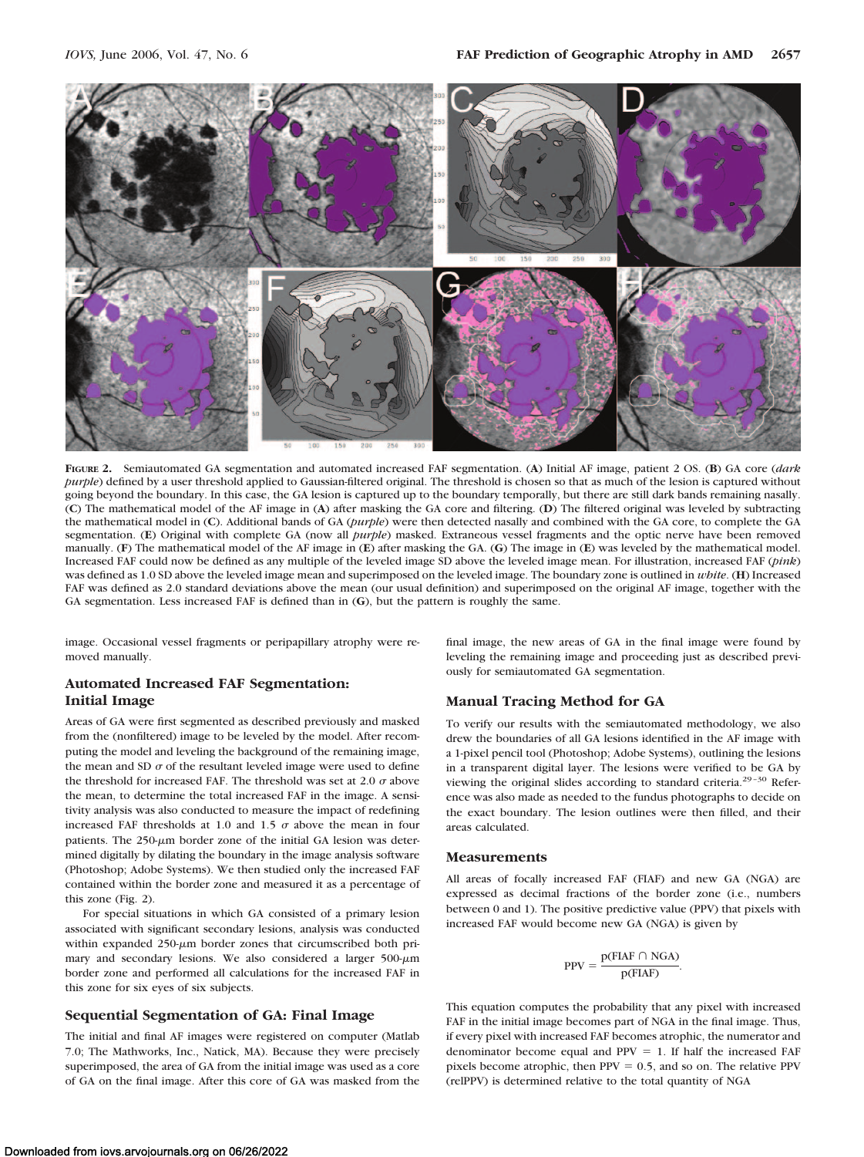

**FIGURE 2.** Semiautomated GA segmentation and automated increased FAF segmentation. (**A**) Initial AF image, patient 2 OS. (**B**) GA core (*dark purple*) defined by a user threshold applied to Gaussian-filtered original. The threshold is chosen so that as much of the lesion is captured without going beyond the boundary. In this case, the GA lesion is captured up to the boundary temporally, but there are still dark bands remaining nasally. (**C**) The mathematical model of the AF image in (**A**) after masking the GA core and filtering. (**D**) The filtered original was leveled by subtracting the mathematical model in (**C**). Additional bands of GA (*purple*) were then detected nasally and combined with the GA core, to complete the GA segmentation. (**E**) Original with complete GA (now all *purple*) masked. Extraneous vessel fragments and the optic nerve have been removed manually. (**F**) The mathematical model of the AF image in (**E**) after masking the GA. (**G**) The image in (**E**) was leveled by the mathematical model. Increased FAF could now be defined as any multiple of the leveled image SD above the leveled image mean. For illustration, increased FAF (*pink*) was defined as 1.0 SD above the leveled image mean and superimposed on the leveled image. The boundary zone is outlined in *white*. (**H**) Increased FAF was defined as 2.0 standard deviations above the mean (our usual definition) and superimposed on the original AF image, together with the GA segmentation. Less increased FAF is defined than in (**G**), but the pattern is roughly the same.

image. Occasional vessel fragments or peripapillary atrophy were removed manually.

# **Automated Increased FAF Segmentation: Initial Image**

Areas of GA were first segmented as described previously and masked from the (nonfiltered) image to be leveled by the model. After recomputing the model and leveling the background of the remaining image, the mean and SD  $\sigma$  of the resultant leveled image were used to define the threshold for increased FAF. The threshold was set at 2.0  $\sigma$  above the mean, to determine the total increased FAF in the image. A sensitivity analysis was also conducted to measure the impact of redefining increased FAF thresholds at 1.0 and 1.5  $\sigma$  above the mean in four patients. The  $250-\mu m$  border zone of the initial GA lesion was determined digitally by dilating the boundary in the image analysis software (Photoshop; Adobe Systems). We then studied only the increased FAF contained within the border zone and measured it as a percentage of this zone (Fig. 2).

For special situations in which GA consisted of a primary lesion associated with significant secondary lesions, analysis was conducted within expanded  $250-\mu m$  border zones that circumscribed both primary and secondary lesions. We also considered a larger  $500 \text{-} \mu \text{m}$ border zone and performed all calculations for the increased FAF in this zone for six eyes of six subjects.

# **Sequential Segmentation of GA: Final Image**

The initial and final AF images were registered on computer (Matlab 7.0; The Mathworks, Inc., Natick, MA). Because they were precisely superimposed, the area of GA from the initial image was used as a core of GA on the final image. After this core of GA was masked from the final image, the new areas of GA in the final image were found by leveling the remaining image and proceeding just as described previously for semiautomated GA segmentation.

### **Manual Tracing Method for GA**

To verify our results with the semiautomated methodology, we also drew the boundaries of all GA lesions identified in the AF image with a 1-pixel pencil tool (Photoshop; Adobe Systems), outlining the lesions in a transparent digital layer. The lesions were verified to be GA by viewing the original slides according to standard criteria.<sup>29-30</sup> Reference was also made as needed to the fundus photographs to decide on the exact boundary. The lesion outlines were then filled, and their areas calculated.

### **Measurements**

All areas of focally increased FAF (FIAF) and new GA (NGA) are expressed as decimal fractions of the border zone (i.e., numbers between 0 and 1). The positive predictive value (PPV) that pixels with increased FAF would become new GA (NGA) is given by

$$
PPV = \frac{p(FIAF \cap NGA)}{p(FIAF)}.
$$

This equation computes the probability that any pixel with increased FAF in the initial image becomes part of NGA in the final image. Thus, if every pixel with increased FAF becomes atrophic, the numerator and denominator become equal and  $PPV = 1$ . If half the increased FAF pixels become atrophic, then  $PPV = 0.5$ , and so on. The relative  $PPV$ (relPPV) is determined relative to the total quantity of NGA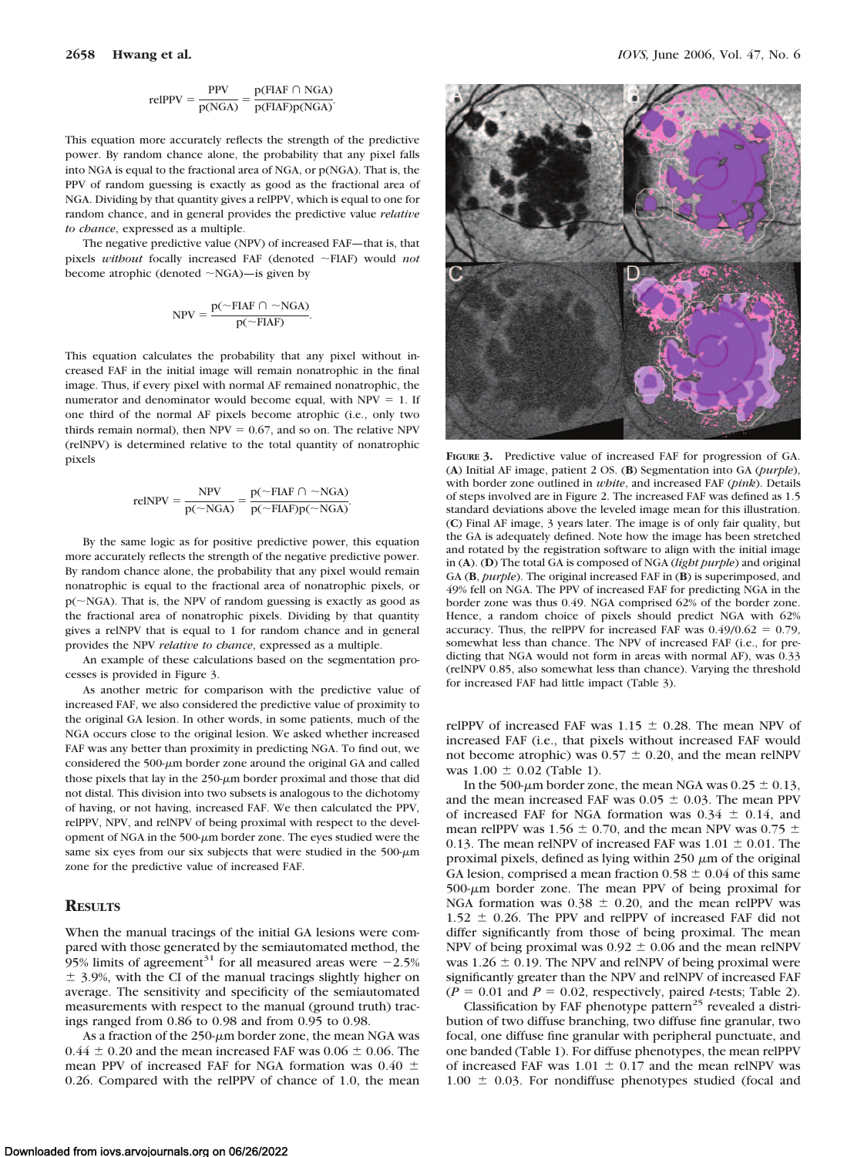$$
relPPV = \frac{PPV}{p(NGA)} = \frac{p(FIAF \cap NGA)}{p(FIAF)p(NGA)}.
$$

This equation more accurately reflects the strength of the predictive power. By random chance alone, the probability that any pixel falls into NGA is equal to the fractional area of NGA, or p(NGA). That is, the PPV of random guessing is exactly as good as the fractional area of NGA. Dividing by that quantity gives a relPPV, which is equal to one for random chance, and in general provides the predictive value *relative to chance*, expressed as a multiple.

The negative predictive value (NPV) of increased FAF—that is, that pixels *without* focally increased FAF (denoted ~FIAF) would *not* become atrophic (denoted  $\sim$ NGA)—is given by

$$
NPV = \frac{p(\sim FIAF \cap \sim NGA)}{p(\sim FIAF)}.
$$

This equation calculates the probability that any pixel without increased FAF in the initial image will remain nonatrophic in the final image. Thus, if every pixel with normal AF remained nonatrophic, the numerator and denominator would become equal, with  $NPV = 1$ . If one third of the normal AF pixels become atrophic (i.e., only two thirds remain normal), then  $NPV = 0.67$ , and so on. The relative NPV (relNPV) is determined relative to the total quantity of nonatrophic pixels

$$
relNPV = \frac{NPV}{p(\sim NGA)} = \frac{p(\sim FIAF \cap \sim NGA)}{p(\sim FIAF)p(\sim NGA)}.
$$

By the same logic as for positive predictive power, this equation more accurately reflects the strength of the negative predictive power. By random chance alone, the probability that any pixel would remain nonatrophic is equal to the fractional area of nonatrophic pixels, or  $p(\sim NGA)$ . That is, the NPV of random guessing is exactly as good as the fractional area of nonatrophic pixels. Dividing by that quantity gives a relNPV that is equal to 1 for random chance and in general provides the NPV *relative to chance*, expressed as a multiple.

An example of these calculations based on the segmentation processes is provided in Figure 3.

As another metric for comparison with the predictive value of increased FAF, we also considered the predictive value of proximity to the original GA lesion. In other words, in some patients, much of the NGA occurs close to the original lesion. We asked whether increased FAF was any better than proximity in predicting NGA. To find out, we considered the  $500-\mu m$  border zone around the original GA and called those pixels that lay in the  $250$ - $\mu$ m border proximal and those that did not distal. This division into two subsets is analogous to the dichotomy of having, or not having, increased FAF. We then calculated the PPV, relPPV, NPV, and relNPV of being proximal with respect to the development of NGA in the  $500 \text{-} \mu$ m border zone. The eyes studied were the same six eyes from our six subjects that were studied in the  $500 \text{-} \mu \text{m}$ zone for the predictive value of increased FAF.

# **RESULTS**

When the manual tracings of the initial GA lesions were compared with those generated by the semiautomated method, the 95% limits of agreement<sup>31</sup> for all measured areas were  $-2.5%$  $\pm$  3.9%, with the CI of the manual tracings slightly higher on average. The sensitivity and specificity of the semiautomated measurements with respect to the manual (ground truth) tracings ranged from 0.86 to 0.98 and from 0.95 to 0.98.

As a fraction of the  $250$ - $\mu$ m border zone, the mean NGA was  $0.44 \pm 0.20$  and the mean increased FAF was  $0.06 \pm 0.06$ . The mean PPV of increased FAF for NGA formation was 0.40  $\pm$ 0.26. Compared with the relPPV of chance of 1.0, the mean



**FIGURE 3.** Predictive value of increased FAF for progression of GA. (**A**) Initial AF image, patient 2 OS. (**B**) Segmentation into GA (*purple*), with border zone outlined in *white*, and increased FAF (*pink*). Details of steps involved are in Figure 2. The increased FAF was defined as 1.5 standard deviations above the leveled image mean for this illustration. (**C**) Final AF image, 3 years later. The image is of only fair quality, but the GA is adequately defined. Note how the image has been stretched and rotated by the registration software to align with the initial image in (**A**). (**D**) The total GA is composed of NGA (*light purple*) and original GA (**B**, *purple*). The original increased FAF in (**B**) is superimposed, and 49% fell on NGA. The PPV of increased FAF for predicting NGA in the border zone was thus 0.49. NGA comprised 62% of the border zone. Hence, a random choice of pixels should predict NGA with 62% accuracy. Thus, the relPPV for increased FAF was  $0.49/0.62 = 0.79$ , somewhat less than chance. The NPV of increased FAF (i.e., for predicting that NGA would not form in areas with normal AF), was 0.33 (relNPV 0.85, also somewhat less than chance). Varying the threshold for increased FAF had little impact (Table 3).

relPPV of increased FAF was 1.15  $\pm$  0.28. The mean NPV of increased FAF (i.e., that pixels without increased FAF would not become atrophic) was  $0.57 \pm 0.20$ , and the mean relNPV was  $1.00 \pm 0.02$  (Table 1).

In the 500- $\mu$ m border zone, the mean NGA was 0.25  $\pm$  0.13, and the mean increased FAF was  $0.05 \pm 0.03$ . The mean PPV of increased FAF for NGA formation was  $0.34 \pm 0.14$ , and mean relPPV was 1.56  $\pm$  0.70, and the mean NPV was 0.75  $\pm$ 0.13. The mean relNPV of increased FAF was  $1.01 \pm 0.01$ . The proximal pixels, defined as lying within 250  $\mu$ m of the original GA lesion, comprised a mean fraction  $0.58 \pm 0.04$  of this same  $500-\mu m$  border zone. The mean PPV of being proximal for NGA formation was  $0.38 \pm 0.20$ , and the mean relPPV was  $1.52 \pm 0.26$ . The PPV and relPPV of increased FAF did not differ significantly from those of being proximal. The mean NPV of being proximal was  $0.92 \pm 0.06$  and the mean relNPV was  $1.26 \pm 0.19$ . The NPV and relNPV of being proximal were significantly greater than the NPV and relNPV of increased FAF  $(P = 0.01$  and  $P = 0.02$ , respectively, paired *t*-tests; Table 2).

Classification by FAF phenotype pattern<sup>25</sup> revealed a distribution of two diffuse branching, two diffuse fine granular, two focal, one diffuse fine granular with peripheral punctuate, and one banded (Table 1). For diffuse phenotypes, the mean relPPV of increased FAF was  $1.01 \pm 0.17$  and the mean relNPV was  $1.00 \pm 0.03$ . For nondiffuse phenotypes studied (focal and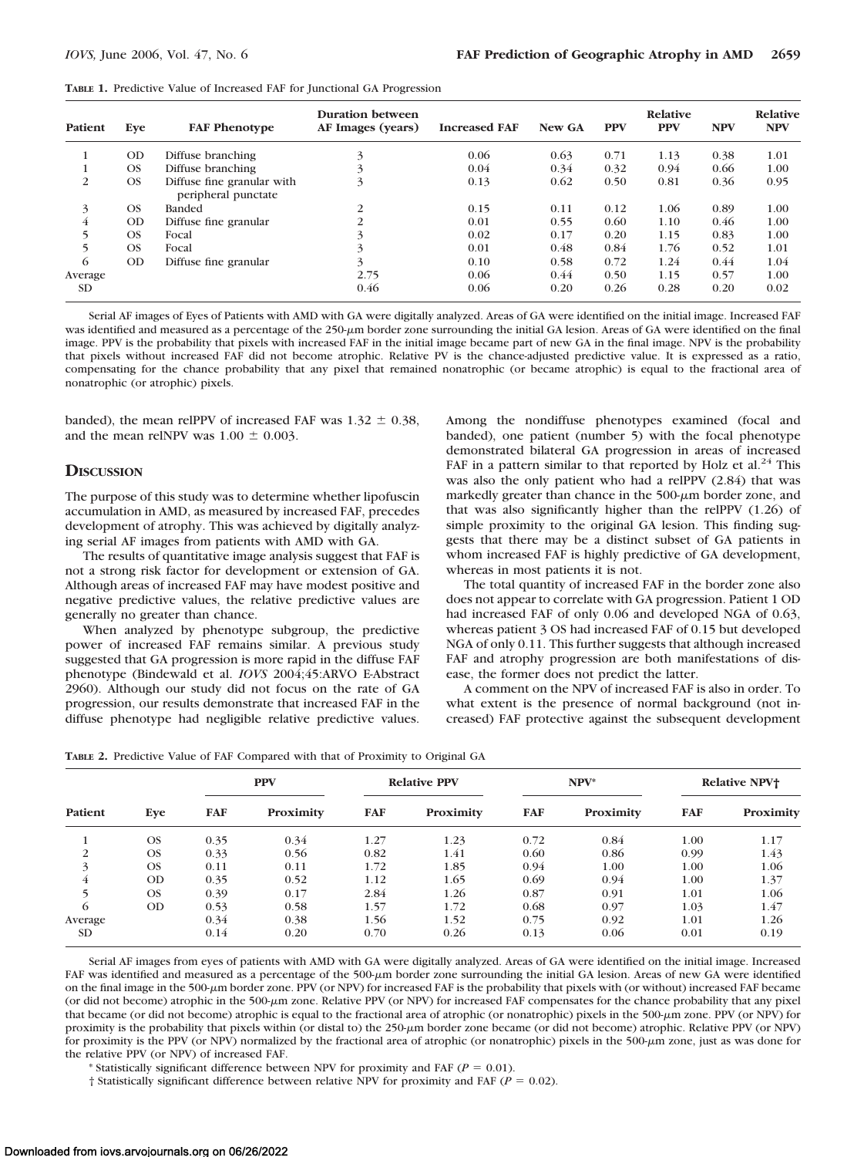| <b>TABLE 1.</b> Predictive Value of Increased FAF for Junctional GA Progression |
|---------------------------------------------------------------------------------|
|---------------------------------------------------------------------------------|

| Patient   | Eve       | <b>FAF Phenotype</b>                              | Duration between<br>AF Images (years) | <b>Increased FAF</b> | New GA | <b>PPV</b> | Relative<br><b>PPV</b> | <b>NPV</b> | Relative<br><b>NPV</b> |
|-----------|-----------|---------------------------------------------------|---------------------------------------|----------------------|--------|------------|------------------------|------------|------------------------|
|           | <b>OD</b> | Diffuse branching                                 | 3                                     | 0.06                 | 0.63   | 0.71       | 1.13                   | 0.38       | 1.01                   |
|           | <b>OS</b> | Diffuse branching                                 |                                       | 0.04                 | 0.34   | 0.32       | 0.94                   | 0.66       | 1.00                   |
| 2         | <b>OS</b> | Diffuse fine granular with<br>peripheral punctate | 3                                     | 0.13                 | 0.62   | 0.50       | 0.81                   | 0.36       | 0.95                   |
| 3         | OS.       | <b>Banded</b>                                     | 2                                     | 0.15                 | 0.11   | 0.12       | 1.06                   | 0.89       | 1.00                   |
| 4         | <b>OD</b> | Diffuse fine granular                             | 2                                     | 0.01                 | 0.55   | 0.60       | 1.10                   | 0.46       | 1.00                   |
| 5         | OS.       | Focal                                             | 3                                     | 0.02                 | 0.17   | 0.20       | 1.15                   | 0.83       | 1.00                   |
|           | <b>OS</b> | Focal                                             | 3                                     | 0.01                 | 0.48   | 0.84       | 1.76                   | 0.52       | 1.01                   |
| 6         | <b>OD</b> | Diffuse fine granular                             | 3                                     | 0.10                 | 0.58   | 0.72       | 1.24                   | 0.44       | 1.04                   |
| Average   |           |                                                   | 2.75                                  | 0.06                 | 0.44   | 0.50       | 1.15                   | 0.57       | 1.00                   |
| <b>SD</b> |           |                                                   | 0.46                                  | 0.06                 | 0.20   | 0.26       | 0.28                   | 0.20       | 0.02                   |

Serial AF images of Eyes of Patients with AMD with GA were digitally analyzed. Areas of GA were identified on the initial image. Increased FAF was identified and measured as a percentage of the 250-µm border zone surrounding the initial GA lesion. Areas of GA were identified on the final image. PPV is the probability that pixels with increased FAF in the initial image became part of new GA in the final image. NPV is the probability that pixels without increased FAF did not become atrophic. Relative PV is the chance-adjusted predictive value. It is expressed as a ratio, compensating for the chance probability that any pixel that remained nonatrophic (or became atrophic) is equal to the fractional area of nonatrophic (or atrophic) pixels.

banded), the mean relPPV of increased FAF was  $1.32 \pm 0.38$ , and the mean relNPV was  $1.00 \pm 0.003$ .

## **DISCUSSION**

The purpose of this study was to determine whether lipofuscin accumulation in AMD, as measured by increased FAF, precedes development of atrophy. This was achieved by digitally analyzing serial AF images from patients with AMD with GA.

The results of quantitative image analysis suggest that FAF is not a strong risk factor for development or extension of GA. Although areas of increased FAF may have modest positive and negative predictive values, the relative predictive values are generally no greater than chance.

When analyzed by phenotype subgroup, the predictive power of increased FAF remains similar. A previous study suggested that GA progression is more rapid in the diffuse FAF phenotype (Bindewald et al. *IOVS* 2004;45:ARVO E-Abstract 2960). Although our study did not focus on the rate of GA progression, our results demonstrate that increased FAF in the diffuse phenotype had negligible relative predictive values.

Among the nondiffuse phenotypes examined (focal and banded), one patient (number 5) with the focal phenotype demonstrated bilateral GA progression in areas of increased FAF in a pattern similar to that reported by Holz et al.<sup>24</sup> This was also the only patient who had a relPPV (2.84) that was markedly greater than chance in the  $500$ - $\mu$ m border zone, and that was also significantly higher than the relPPV (1.26) of simple proximity to the original GA lesion. This finding suggests that there may be a distinct subset of GA patients in whom increased FAF is highly predictive of GA development, whereas in most patients it is not.

The total quantity of increased FAF in the border zone also does not appear to correlate with GA progression. Patient 1 OD had increased FAF of only 0.06 and developed NGA of 0.63, whereas patient 3 OS had increased FAF of 0.15 but developed NGA of only 0.11. This further suggests that although increased FAF and atrophy progression are both manifestations of disease, the former does not predict the latter.

A comment on the NPV of increased FAF is also in order. To what extent is the presence of normal background (not increased) FAF protective against the subsequent development

| TABLE 2. Predictive Value of FAF Compared with that of Proximity to Original GA |  |  |  |
|---------------------------------------------------------------------------------|--|--|--|
|---------------------------------------------------------------------------------|--|--|--|

| Patient        | Eye       | <b>PPV</b> |           | <b>Relative PPV</b> |           | $NPV^*$    |           | <b>Relative NPV+</b> |           |
|----------------|-----------|------------|-----------|---------------------|-----------|------------|-----------|----------------------|-----------|
|                |           | <b>FAF</b> | Proximity | <b>FAF</b>          | Proximity | <b>FAF</b> | Proximity | <b>FAF</b>           | Proximity |
|                | <b>OS</b> | 0.35       | 0.34      | 1.27                | 1.23      | 0.72       | 0.84      | 1.00                 | 1.17      |
| $\overline{2}$ | OS.       | 0.33       | 0.56      | 0.82                | 1.41      | 0.60       | 0.86      | 0.99                 | 1.43      |
| 3              | <b>OS</b> | 0.11       | 0.11      | 1.72                | 1.85      | 0.94       | 1.00      | 1.00                 | 1.06      |
| 4              | <b>OD</b> | 0.35       | 0.52      | 1.12                | 1.65      | 0.69       | 0.94      | 1.00                 | 1.37      |
|                | <b>OS</b> | 0.39       | 0.17      | 2.84                | 1.26      | 0.87       | 0.91      | 1.01                 | 1.06      |
| 6              | <b>OD</b> | 0.53       | 0.58      | 1.57                | 1.72      | 0.68       | 0.97      | 1.03                 | 1.47      |
| Average        |           | 0.34       | 0.38      | 1.56                | 1.52      | 0.75       | 0.92      | 1.01                 | 1.26      |
| <b>SD</b>      |           | 0.14       | 0.20      | 0.70                | 0.26      | 0.13       | 0.06      | 0.01                 | 0.19      |

Serial AF images from eyes of patients with AMD with GA were digitally analyzed. Areas of GA were identified on the initial image. Increased FAF was identified and measured as a percentage of the 500- $\mu$ m border zone surrounding the initial GA lesion. Areas of new GA were identified on the final image in the 500-µm border zone. PPV (or NPV) for increased FAF is the probability that pixels with (or without) increased FAF became (or did not become) atrophic in the 500-m zone. Relative PPV (or NPV) for increased FAF compensates for the chance probability that any pixel that became (or did not become) atrophic is equal to the fractional area of atrophic (or nonatrophic) pixels in the 500-um zone. PPV (or NPV) for proximity is the probability that pixels within (or distal to) the 250- $\mu$ m border zone became (or did not become) atrophic. Relative PPV (or NPV) for proximity is the PPV (or NPV) normalized by the fractional area of atrophic (or nonatrophic) pixels in the 500-µm zone, just as was done for the relative PPV (or NPV) of increased FAF.

\* Statistically significant difference between NPV for proximity and FAF ( $P = 0.01$ ).

 $\dagger$  Statistically significant difference between relative NPV for proximity and FAF ( $P = 0.02$ ).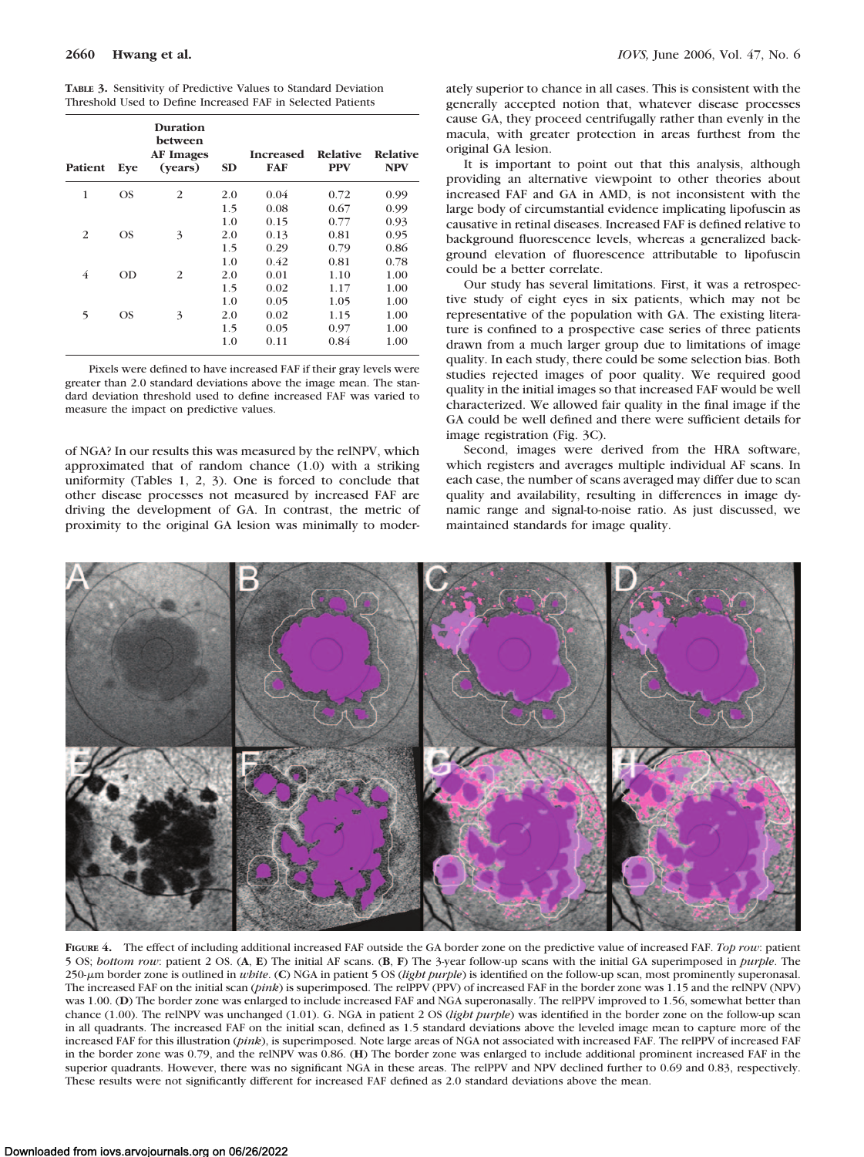**TABLE 3.** Sensitivity of Predictive Values to Standard Deviation Threshold Used to Define Increased FAF in Selected Patients

| Patient | Eye | Duration<br>between<br><b>AF Images</b><br>(years) | <b>SD</b> | <b>Increased</b><br><b>FAF</b> | Relative<br><b>PPV</b> | <b>Relative</b><br><b>NPV</b> |
|---------|-----|----------------------------------------------------|-----------|--------------------------------|------------------------|-------------------------------|
| 1       | OS  | $\overline{2}$                                     | 2.0       | 0.04                           | 0.72                   | 0.99                          |
|         |     |                                                    | 1.5       | 0.08                           | 0.67                   | 0.99                          |
|         |     |                                                    | 1.0       | 0.15                           | 0.77                   | 0.93                          |
| 2       | OS  | 3                                                  | 2.0       | 0.13                           | 0.81                   | 0.95                          |
|         |     |                                                    | 1.5       | 0.29                           | 0.79                   | 0.86                          |
|         |     |                                                    | 1.0       | 0.42                           | 0.81                   | 0.78                          |
| 4       | OD  | 2                                                  | 2.0       | 0.01                           | 1.10                   | 1.00                          |
|         |     |                                                    | 1.5       | 0.02                           | 1.17                   | 1.00                          |
|         |     |                                                    | 1.0       | 0.05                           | 1.05                   | 1.00                          |
| 5       | OS  | 3                                                  | 2.0       | 0.02                           | 1.15                   | 1.00                          |
|         |     |                                                    | 1.5       | 0.05                           | 0.97                   | 1.00                          |
|         |     |                                                    | 1.0       | 0.11                           | 0.84                   | 1.00                          |

Pixels were defined to have increased FAF if their gray levels were greater than 2.0 standard deviations above the image mean. The standard deviation threshold used to define increased FAF was varied to measure the impact on predictive values.

of NGA? In our results this was measured by the relNPV, which approximated that of random chance (1.0) with a striking uniformity (Tables 1, 2, 3). One is forced to conclude that other disease processes not measured by increased FAF are driving the development of GA. In contrast, the metric of proximity to the original GA lesion was minimally to moderately superior to chance in all cases. This is consistent with the generally accepted notion that, whatever disease processes cause GA, they proceed centrifugally rather than evenly in the macula, with greater protection in areas furthest from the original GA lesion.

It is important to point out that this analysis, although providing an alternative viewpoint to other theories about increased FAF and GA in AMD, is not inconsistent with the large body of circumstantial evidence implicating lipofuscin as causative in retinal diseases. Increased FAF is defined relative to background fluorescence levels, whereas a generalized background elevation of fluorescence attributable to lipofuscin could be a better correlate.

Our study has several limitations. First, it was a retrospective study of eight eyes in six patients, which may not be representative of the population with GA. The existing literature is confined to a prospective case series of three patients drawn from a much larger group due to limitations of image quality. In each study, there could be some selection bias. Both studies rejected images of poor quality. We required good quality in the initial images so that increased FAF would be well characterized. We allowed fair quality in the final image if the GA could be well defined and there were sufficient details for image registration (Fig. 3C).

Second, images were derived from the HRA software, which registers and averages multiple individual AF scans. In each case, the number of scans averaged may differ due to scan quality and availability, resulting in differences in image dynamic range and signal-to-noise ratio. As just discussed, we maintained standards for image quality.



**FIGURE 4.** The effect of including additional increased FAF outside the GA border zone on the predictive value of increased FAF. *Top row*: patient 5 OS; *bottom row*: patient 2 OS. (**A**, **E**) The initial AF scans. (**B**, **F**) The 3-year follow-up scans with the initial GA superimposed in *purple*. The 250-m border zone is outlined in *white*. (**C**) NGA in patient 5 OS (*light purple*) is identified on the follow-up scan, most prominently superonasal. The increased FAF on the initial scan (*pink*) is superimposed. The relPPV (PPV) of increased FAF in the border zone was 1.15 and the relNPV (NPV) was 1.00. (**D**) The border zone was enlarged to include increased FAF and NGA superonasally. The relPPV improved to 1.56, somewhat better than chance (1.00). The relNPV was unchanged (1.01). G. NGA in patient 2 OS (*light purple*) was identified in the border zone on the follow-up scan in all quadrants. The increased FAF on the initial scan, defined as 1.5 standard deviations above the leveled image mean to capture more of the increased FAF for this illustration (*pink*), is superimposed. Note large areas of NGA not associated with increased FAF. The relPPV of increased FAF in the border zone was 0.79, and the relNPV was 0.86. (**H**) The border zone was enlarged to include additional prominent increased FAF in the superior quadrants. However, there was no significant NGA in these areas. The relPPV and NPV declined further to 0.69 and 0.83, respectively. These results were not significantly different for increased FAF defined as 2.0 standard deviations above the mean.